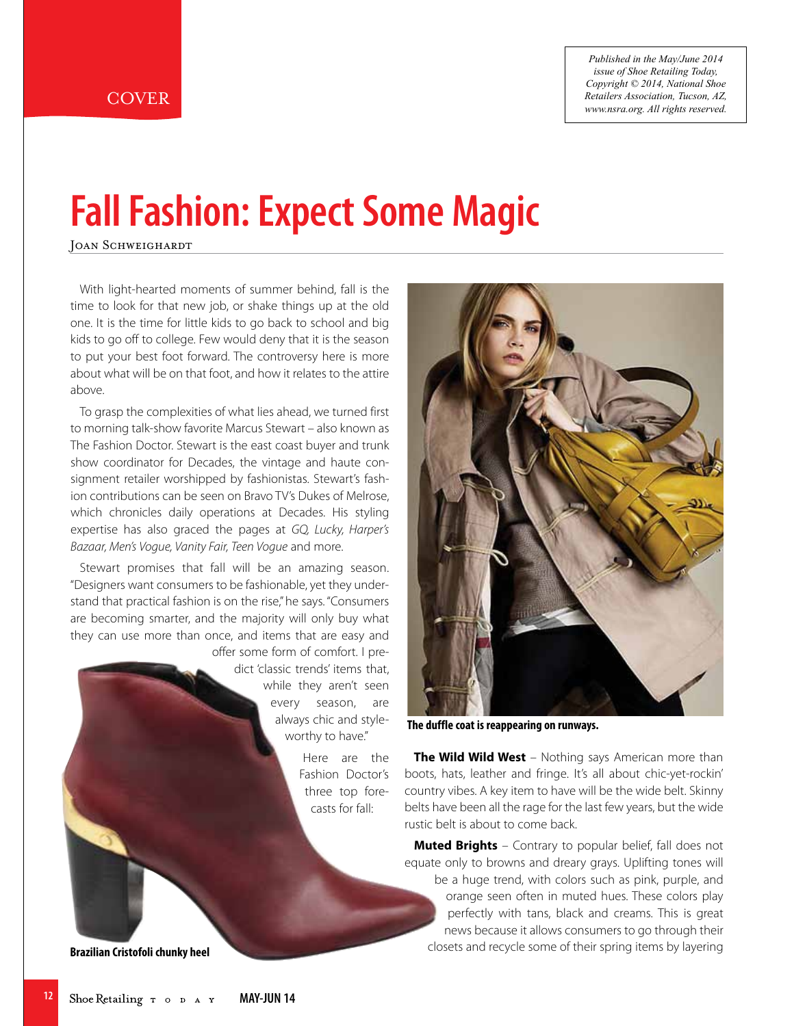*Published in the May/June 2014 issue of Shoe Retailing Today, Copyright © 2014, National Shoe Retailers Association, Tucson, AZ, www.nsra.org. All rights reserved.*

# **Fall Fashion: Expect Some Magic**

JOAN SCHWEIGHARDT

With light-hearted moments of summer behind, fall is the time to look for that new job, or shake things up at the old one. It is the time for little kids to go back to school and big kids to go off to college. Few would deny that it is the season to put your best foot forward. The controversy here is more about what will be on that foot, and how it relates to the attire above.

To grasp the complexities of what lies ahead, we turned first to morning talk-show favorite Marcus Stewart – also known as The Fashion Doctor. Stewart is the east coast buyer and trunk show coordinator for Decades, the vintage and haute consignment retailer worshipped by fashionistas. Stewart's fashion contributions can be seen on Bravo TV's Dukes of Melrose, which chronicles daily operations at Decades. His styling expertise has also graced the pages at GQ, Lucky, Harper's Bazaar, Men's Vogue, Vanity Fair, Teen Vogue and more.

Stewart promises that fall will be an amazing season. "Designers want consumers to be fashionable, yet they understand that practical fashion is on the rise," he says."Consumers are becoming smarter, and the majority will only buy what they can use more than once, and items that are easy and

> offer some form of comfort. I predict 'classic trends' items that, while they aren't seen every season, are always chic and styleworthy to have."

> > Here are the Fashion Doctor's three top forecasts for fall:



**The duffle coat is reappearing on runways.**

**The Wild Wild West** – Nothing says American more than boots, hats, leather and fringe. It's all about chic-yet-rockin' country vibes. A key item to have will be the wide belt. Skinny belts have been all the rage for the last few years, but the wide rustic belt is about to come back.

**Muted Brights** – Contrary to popular belief, fall does not equate only to browns and dreary grays. Uplifting tones will be a huge trend, with colors such as pink, purple, and orange seen often in muted hues. These colors play perfectly with tans, black and creams. This is great news because it allows consumers to go through their closets and recycle some of their spring items by layering

**Brazilian Cristofoli chunky heel**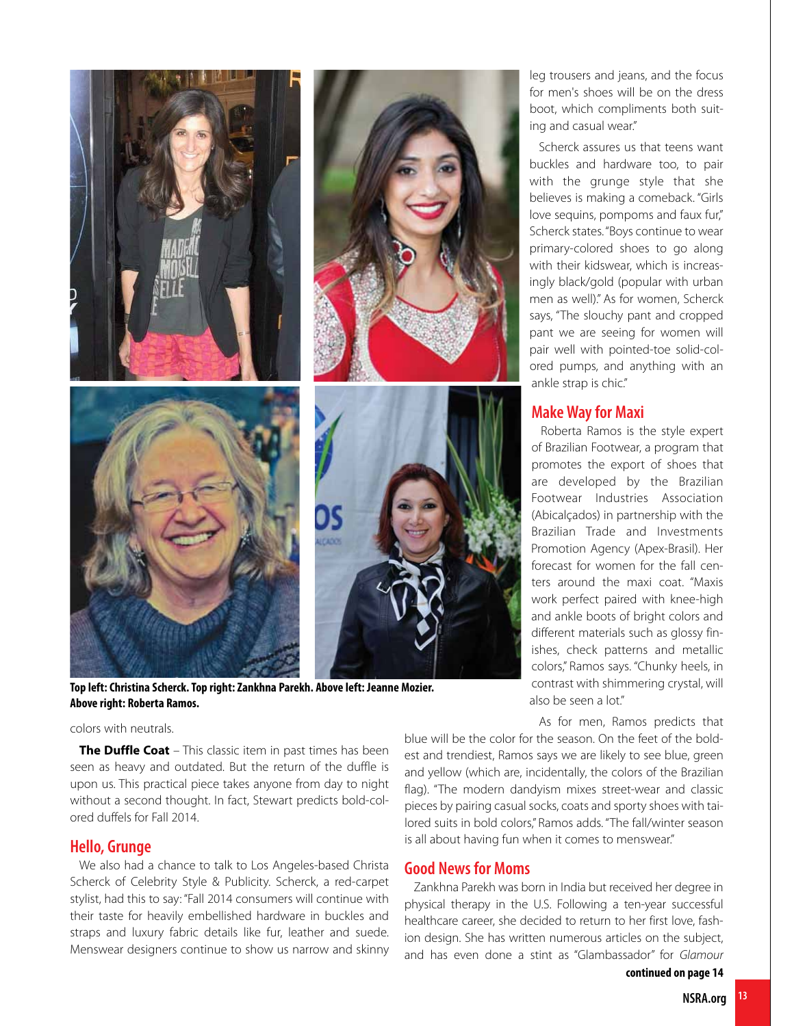

**Top left:Christina Scherck.Top right:Zankhna Parekh. Above left: Jeanne Mozier. Above right: Roberta Ramos.**

#### colors with neutrals.

**The Duffle Coat** – This classic item in past times has been seen as heavy and outdated. But the return of the duffle is upon us. This practical piece takes anyone from day to night without a second thought. In fact, Stewart predicts bold-colored duffels for Fall 2014.

## **Hello, Grunge**

We also had a chance to talk to Los Angeles-based Christa Scherck of Celebrity Style & Publicity. Scherck, a red-carpet stylist, had this to say: "Fall 2014 consumers will continue with their taste for heavily embellished hardware in buckles and straps and luxury fabric details like fur, leather and suede. Menswear designers continue to show us narrow and skinny

leg trousers and jeans, and the focus for men's shoes will be on the dress boot, which compliments both suiting and casual wear."

Scherck assures us that teens want buckles and hardware too, to pair with the grunge style that she believes is making a comeback. "Girls love sequins, pompoms and faux fur," Scherck states."Boys continue to wear primary-colored shoes to go along with their kidswear, which is increasingly black/gold (popular with urban men as well)." As for women, Scherck says, "The slouchy pant and cropped pant we are seeing for women will pair well with pointed-toe solid-colored pumps, and anything with an ankle strap is chic."

## **MakeWayfor Maxi**

Roberta Ramos is the style expert of Brazilian Footwear, a program that promotes the export of shoes that are developed by the Brazilian Footwear Industries Association (Abicalçados) in partnership with the Brazilian Trade and Investments Promotion Agency (Apex-Brasil). Her forecast for women for the fall centers around the maxi coat. "Maxis work perfect paired with knee-high and ankle boots of bright colors and different materials such as glossy finishes, check patterns and metallic colors," Ramos says. "Chunky heels, in contrast with shimmering crystal, will also be seen a lot."

As for men, Ramos predicts that

blue will be the color for the season. On the feet of the boldest and trendiest, Ramos says we are likely to see blue, green and yellow (which are, incidentally, the colors of the Brazilian flag). "The modern dandyism mixes street-wear and classic pieces by pairing casual socks, coats and sporty shoes with tailored suits in bold colors," Ramos adds. "The fall/winter season is all about having fun when it comes to menswear."

# **Good News for Moms**

Zankhna Parekh was born in India but received her degree in physical therapy in the U.S. Following a ten-year successful healthcare career, she decided to return to her first love, fashion design. She has written numerous articles on the subject, and has even done a stint as "Glambassador" for Glamour